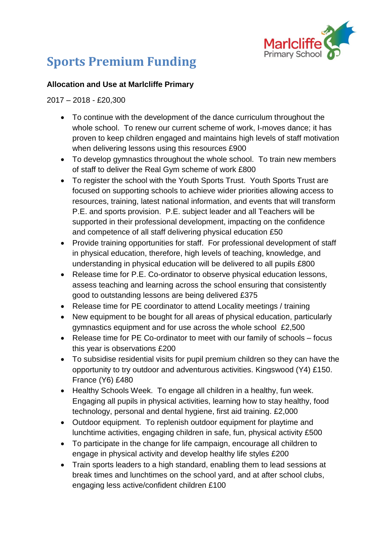

# **Sports Premium Funding**

### **Allocation and Use at Marlcliffe Primary**

#### 2017 – 2018 - £20,300

- To continue with the development of the dance curriculum throughout the whole school. To renew our current scheme of work, I-moves dance; it has proven to keep children engaged and maintains high levels of staff motivation when delivering lessons using this resources £900
- To develop gymnastics throughout the whole school. To train new members of staff to deliver the Real Gym scheme of work £800
- To register the school with the Youth Sports Trust. Youth Sports Trust are focused on supporting schools to achieve wider priorities allowing access to resources, training, latest national information, and events that will transform P.E. and sports provision. P.E. subject leader and all Teachers will be supported in their professional development, impacting on the confidence and competence of all staff delivering physical education £50
- Provide training opportunities for staff. For professional development of staff in physical education, therefore, high levels of teaching, knowledge, and understanding in physical education will be delivered to all pupils £800
- Release time for P.E. Co-ordinator to observe physical education lessons, assess teaching and learning across the school ensuring that consistently good to outstanding lessons are being delivered £375
- Release time for PE coordinator to attend Locality meetings / training
- New equipment to be bought for all areas of physical education, particularly gymnastics equipment and for use across the whole school £2,500
- Release time for PE Co-ordinator to meet with our family of schools focus this year is observations £200
- To subsidise residential visits for pupil premium children so they can have the opportunity to try outdoor and adventurous activities. Kingswood (Y4) £150. France (Y6) £480
- Healthy Schools Week. To engage all children in a healthy, fun week. Engaging all pupils in physical activities, learning how to stay healthy, food technology, personal and dental hygiene, first aid training. £2,000
- Outdoor equipment. To replenish outdoor equipment for playtime and lunchtime activities, engaging children in safe, fun, physical activity £500
- To participate in the change for life campaign, encourage all children to engage in physical activity and develop healthy life styles £200
- Train sports leaders to a high standard, enabling them to lead sessions at break times and lunchtimes on the school yard, and at after school clubs, engaging less active/confident children £100